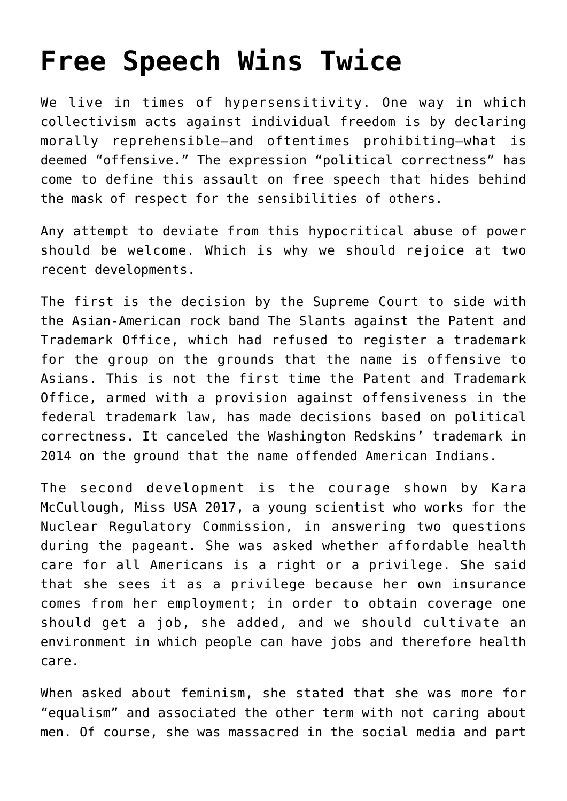## **[Free Speech Wins Twice](https://intellectualtakeout.org/2017/06/free-speech-wins-twice/)**

We live in times of hypersensitivity. One way in which collectivism acts against individual freedom is by declaring morally reprehensible—and oftentimes prohibiting—what is deemed "offensive." The expression "political correctness" has come to define this assault on free speech that hides behind the mask of respect for the sensibilities of others.

Any attempt to deviate from this hypocritical abuse of power should be welcome. Which is why we should rejoice at two recent developments.

The first is the decision by the Supreme Court to side with the Asian-American rock band The Slants against the Patent and Trademark Office, which had refused to register a trademark for the group on the grounds that the name is offensive to Asians. This is not the first time the Patent and Trademark Office, armed with a provision against offensiveness in the federal trademark law, has made decisions based on political correctness. It canceled the Washington Redskins' trademark in 2014 on the ground that the name offended American Indians.

The second development is the courage shown by Kara McCullough, Miss USA 2017, a young scientist who works for the Nuclear Regulatory Commission, in answering two questions during the pageant. She was asked whether affordable health care for all Americans is a right or a privilege. She said that she sees it as a privilege because her own insurance comes from her employment; in order to obtain coverage one should get a job, she added, and we should cultivate an environment in which people can have jobs and therefore health care.

When asked about feminism, she stated that she was more for "equalism" and associated the other term with not caring about men. Of course, she was massacred in the social media and part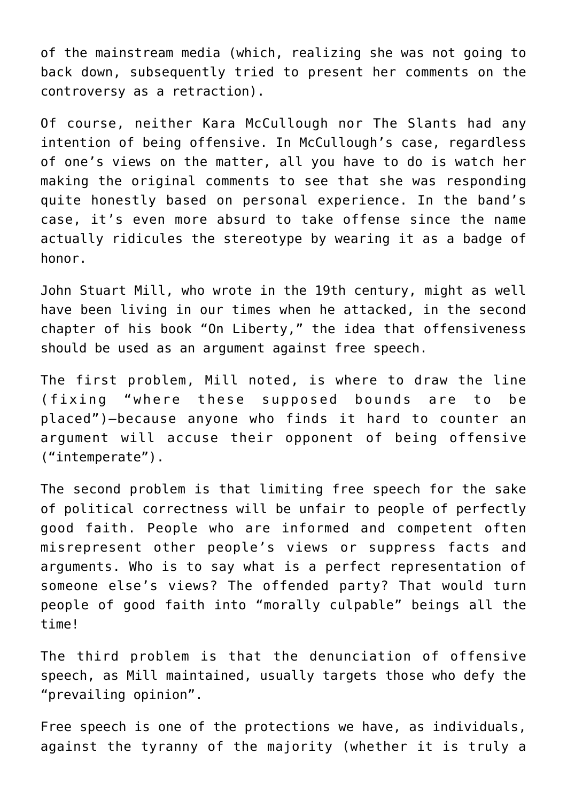of the mainstream media (which, realizing she was not going to back down, subsequently tried to present her comments on the controversy as a retraction).

Of course, neither Kara McCullough nor The Slants had any intention of being offensive. In McCullough's case, regardless of one's views on the matter, all you have to do is watch her making the original comments to see that she was responding quite honestly based on personal experience. In the band's case, it's even more absurd to take offense since the name actually ridicules the stereotype by wearing it as a badge of honor.

John Stuart Mill, who wrote in the 19th century, might as well have been living in our times when he attacked, in the second chapter of his book "On Liberty," the idea that offensiveness should be used as an argument against free speech.

The first problem, Mill noted, is where to draw the line (fixing "where these supposed bounds are to be placed")—because anyone who finds it hard to counter an argument will accuse their opponent of being offensive ("intemperate").

The second problem is that limiting free speech for the sake of political correctness will be unfair to people of perfectly good faith. People who are informed and competent often misrepresent other people's views or suppress facts and arguments. Who is to say what is a perfect representation of someone else's views? The offended party? That would turn people of good faith into "morally culpable" beings all the time!

The third problem is that the denunciation of offensive speech, as Mill maintained, usually targets those who defy the "prevailing opinion".

Free speech is one of the protections we have, as individuals, against the tyranny of the majority (whether it is truly a